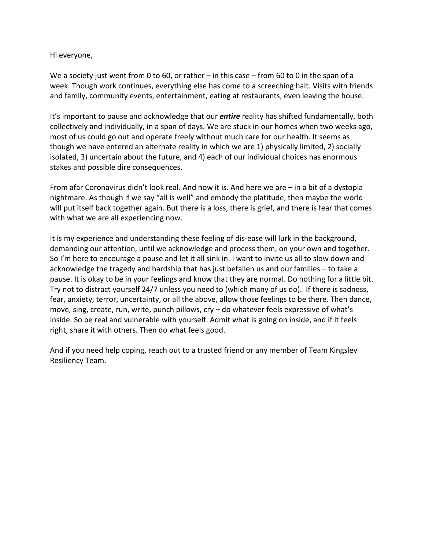Hi everyone,

We a society just went from 0 to 60, or rather – in this case – from 60 to 0 in the span of a week. Though work continues, everything else has come to a screeching halt. Visits with friends and family, community events, entertainment, eating at restaurants, even leaving the house.

It's important to pause and acknowledge that our *entire* reality has shifted fundamentally, both collectively and individually, in a span of days. We are stuck in our homes when two weeks ago, most of us could go out and operate freely without much care for our health. It seems as though we have entered an alternate reality in which we are 1) physically limited, 2) socially isolated, 3) uncertain about the future, and 4) each of our individual choices has enormous stakes and possible dire consequences.

From afar Coronavirus didn't look real. And now it is. And here we are – in a bit of a dystopia nightmare. As though if we say "all is well" and embody the platitude, then maybe the world will put itself back together again. But there is a loss, there is grief, and there is fear that comes with what we are all experiencing now.

It is my experience and understanding these feeling of dis-ease will lurk in the background, demanding our attention, until we acknowledge and process them, on your own and together. So I'm here to encourage a pause and let it all sink in. I want to invite us all to slow down and acknowledge the tragedy and hardship that has just befallen us and our families – to take a pause. It is okay to be in your feelings and know that they are normal. Do nothing for a little bit. Try not to distract yourself 24/7 unless you need to (which many of us do). If there is sadness, fear, anxiety, terror, uncertainty, or all the above, allow those feelings to be there. Then dance, move, sing, create, run, write, punch pillows, cry – do whatever feels expressive of what's inside. So be real and vulnerable with yourself. Admit what is going on inside, and if it feels right, share it with others. Then do what feels good.

And if you need help coping, reach out to a trusted friend or any member of Team Kingsley Resiliency Team.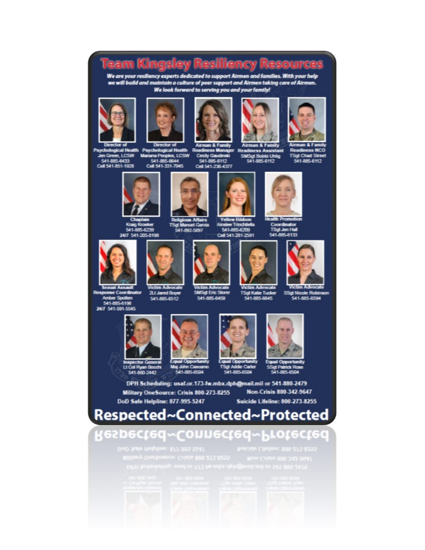## **Team Kingsley Resiliency Resource**

We are your resiliency experts dedicated to support Airmen and families. With your help<br>we will build and maintain a culture of peer support and Airmen taking care of Airmen. We look forward to serving you and your family!











**Psychological He** Jen Green, LCSW 541-885-6433<br>Cell 541-851-1928

**Coveral Associt** 

**Response Coordinator** 

Amber Spotten<br>541-885-6198

24/7 541-591-5545

Director of Airman & Family Airman & Family<br>International Mead Health Readiness Manager Readiness Assistant<br>W. Mariana Peoples, LCSW Cecily Gaudinski SMSgt Bobbi Uhlig 541-885-8644

**Victim Advocate** 

21. Jared Boyer<br>541-885-6512

541-885-6112 Cell 541-236-4377

SMSgt Bobbi Uhlig<br>541-885-6112





Kraig Kroeker 541-885-6239 24/7 541-205-8198



Religious Affairs<br>TSgt Manuel Garcia 541-892-5897

**Victim Advocate** 

**SMSgt Eric Storer** 

541-885-6459

Yellow Ribbo Ainsie Trinchile Cell 541-281-2591



TSgt Jen Hall 541-885-6133





**Victim Advocate** TSgt Katie Tucker<br>541-885-6645







Maj John Cas mo 541-885-6504

Equal Opportunity<br>TSgt Addie Carler 541-885-6504



SSgtPa<br>S41-8

DPH Scheduling: usaf.or.173-fw.mbx.dph@mail.mil or 541-880-2479 Non-Crisis 800-342-9647 Military OneSource: Crisis 800-273-8255 **Suicide Lifeline: 800-273-8255** 



## Respected~Connected~Protected